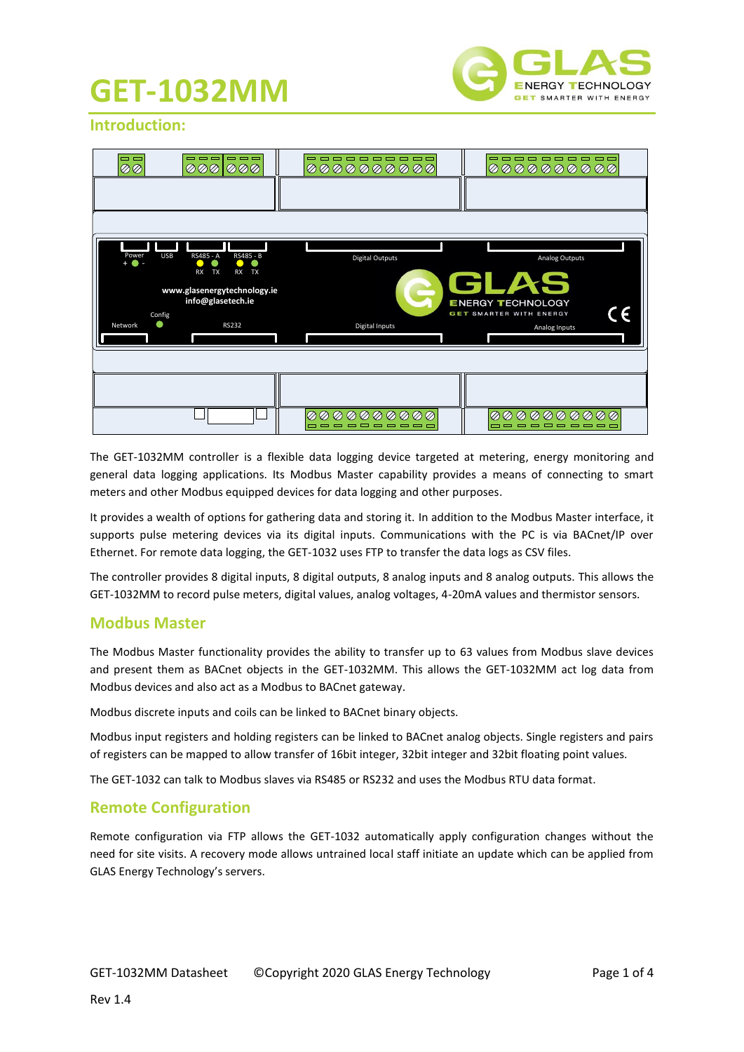## **GET-1032MM**



#### **Introduction:**

| --<br><b>ØØ</b>                                    | ------<br>000 000                                                                                                              | -----------<br>00000000000                                   | ----------<br>00000000000                                                            |
|----------------------------------------------------|--------------------------------------------------------------------------------------------------------------------------------|--------------------------------------------------------------|--------------------------------------------------------------------------------------|
|                                                    |                                                                                                                                |                                                              |                                                                                      |
|                                                    |                                                                                                                                |                                                              |                                                                                      |
| <b>USB</b><br>Power<br>$+$ $\bullet$ $-$<br>Config | RS485 - A<br>RS485 - B<br><b>TX</b><br><b>RX</b><br><b>RX</b><br><b>TX</b><br>www.glasenergytechnology.ie<br>info@glasetech.ie | <b>Digital Outputs</b><br>S                                  | Analog Outputs<br>GLAS<br><b>ENERGY TECHNOLOGY</b><br><b>GET SMARTER WITH ENERGY</b> |
| ۸<br>Network                                       | <b>RS232</b>                                                                                                                   | Digital Inputs                                               | Analog Inputs                                                                        |
|                                                    |                                                                                                                                | 000000000<br>$\oslash$<br>--------<br><b>The State State</b> | <b>000000000</b><br>Ø<br>---------                                                   |

The GET-1032MM controller is a flexible data logging device targeted at metering, energy monitoring and general data logging applications. Its Modbus Master capability provides a means of connecting to smart meters and other Modbus equipped devices for data logging and other purposes.

It provides a wealth of options for gathering data and storing it. In addition to the Modbus Master interface, it supports pulse metering devices via its digital inputs. Communications with the PC is via BACnet/IP over Ethernet. For remote data logging, the GET-1032 uses FTP to transfer the data logs as CSV files.

The controller provides 8 digital inputs, 8 digital outputs, 8 analog inputs and 8 analog outputs. This allows the GET-1032MM to record pulse meters, digital values, analog voltages, 4-20mA values and thermistor sensors.

#### **Modbus Master**

The Modbus Master functionality provides the ability to transfer up to 63 values from Modbus slave devices and present them as BACnet objects in the GET-1032MM. This allows the GET-1032MM act log data from Modbus devices and also act as a Modbus to BACnet gateway.

Modbus discrete inputs and coils can be linked to BACnet binary objects.

Modbus input registers and holding registers can be linked to BACnet analog objects. Single registers and pairs of registers can be mapped to allow transfer of 16bit integer, 32bit integer and 32bit floating point values.

The GET-1032 can talk to Modbus slaves via RS485 or RS232 and uses the Modbus RTU data format.

#### **Remote Configuration**

Remote configuration via FTP allows the GET-1032 automatically apply configuration changes without the need for site visits. A recovery mode allows untrained local staff initiate an update which can be applied from GLAS Energy Technology's servers.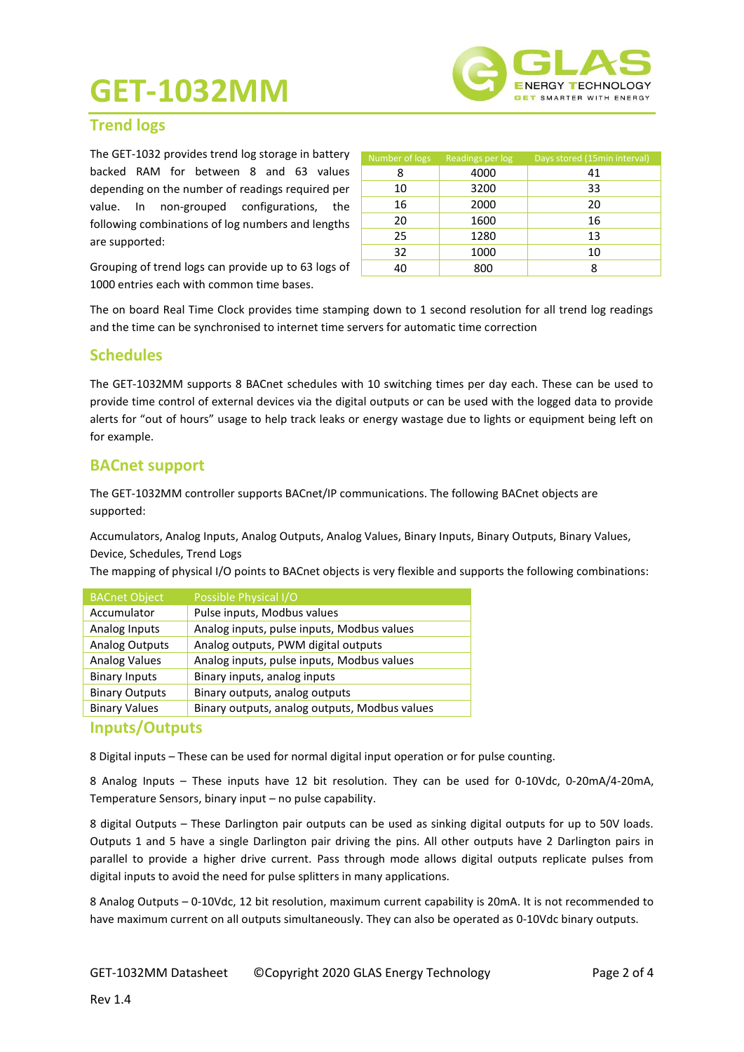# **GET-1032MM**



Number of logs Readings per log Days stored (15min interval) 8 4000 41 10 3200 33

### **Trend logs**

The GET-1032 provides trend log storage in battery backed RAM for between 8 and 63 values depending on the number of readings required per value. In non-grouped configurations, the following combinations of log numbers and lengths are supported:

16 2000 20 20 1600 16 25 1280 13 32 1000 10 40 800 8

Grouping of trend logs can provide up to 63 logs of 1000 entries each with common time bases.

The on board Real Time Clock provides time stamping down to 1 second resolution for all trend log readings and the time can be synchronised to internet time servers for automatic time correction

#### **Schedules**

The GET-1032MM supports 8 BACnet schedules with 10 switching times per day each. These can be used to provide time control of external devices via the digital outputs or can be used with the logged data to provide alerts for "out of hours" usage to help track leaks or energy wastage due to lights or equipment being left on for example.

#### **BACnet support**

The GET-1032MM controller supports BACnet/IP communications. The following BACnet objects are supported:

Accumulators, Analog Inputs, Analog Outputs, Analog Values, Binary Inputs, Binary Outputs, Binary Values, Device, Schedules, Trend Logs

The mapping of physical I/O points to BACnet objects is very flexible and supports the following combinations:

| <b>BACnet Object</b>  | Possible Physical I/O                         |
|-----------------------|-----------------------------------------------|
| Accumulator           | Pulse inputs, Modbus values                   |
| Analog Inputs         | Analog inputs, pulse inputs, Modbus values    |
| <b>Analog Outputs</b> | Analog outputs, PWM digital outputs           |
| <b>Analog Values</b>  | Analog inputs, pulse inputs, Modbus values    |
| <b>Binary Inputs</b>  | Binary inputs, analog inputs                  |
| <b>Binary Outputs</b> | Binary outputs, analog outputs                |
| <b>Binary Values</b>  | Binary outputs, analog outputs, Modbus values |
|                       |                                               |

#### **Inputs/Outputs**

8 Digital inputs – These can be used for normal digital input operation or for pulse counting.

8 Analog Inputs – These inputs have 12 bit resolution. They can be used for 0-10Vdc, 0-20mA/4-20mA, Temperature Sensors, binary input – no pulse capability.

8 digital Outputs – These Darlington pair outputs can be used as sinking digital outputs for up to 50V loads. Outputs 1 and 5 have a single Darlington pair driving the pins. All other outputs have 2 Darlington pairs in parallel to provide a higher drive current. Pass through mode allows digital outputs replicate pulses from digital inputs to avoid the need for pulse splitters in many applications.

8 Analog Outputs – 0-10Vdc, 12 bit resolution, maximum current capability is 20mA. It is not recommended to have maximum current on all outputs simultaneously. They can also be operated as 0-10Vdc binary outputs.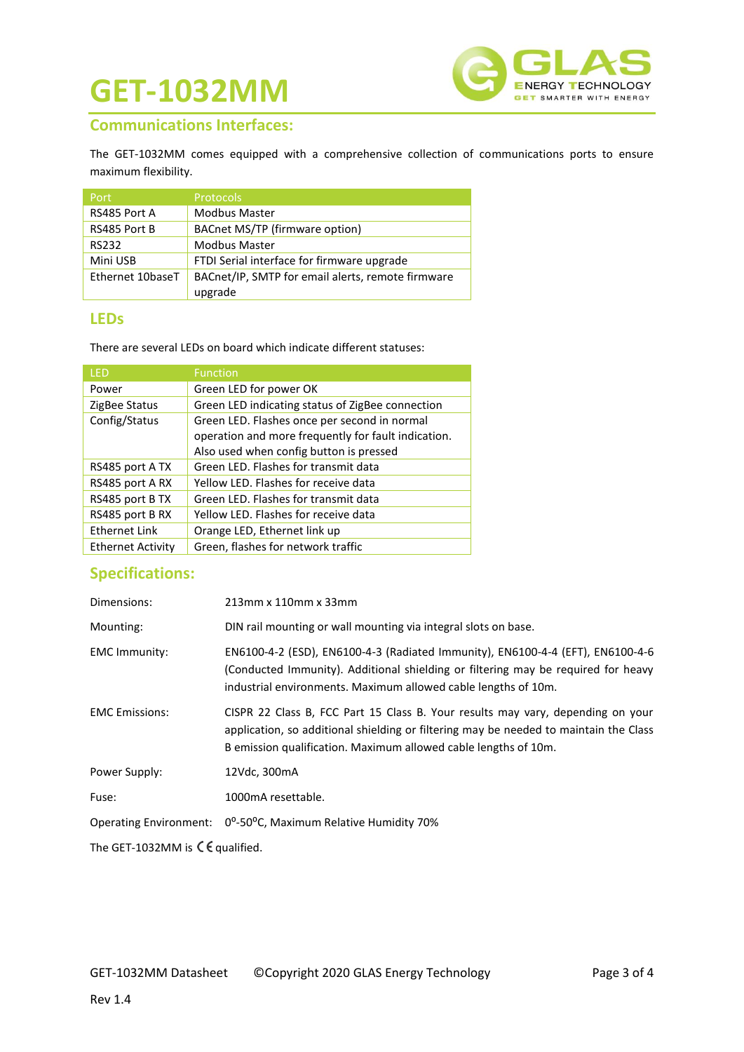# **GET-1032MM**



### **Communications Interfaces:**

The GET-1032MM comes equipped with a comprehensive collection of communications ports to ensure maximum flexibility.

| Port             | <b>Protocols</b>                                  |
|------------------|---------------------------------------------------|
| RS485 Port A     | <b>Modbus Master</b>                              |
| RS485 Port B     | BACnet MS/TP (firmware option)                    |
| <b>RS232</b>     | <b>Modbus Master</b>                              |
| Mini USB         | FTDI Serial interface for firmware upgrade        |
| Ethernet 10baseT | BACnet/IP, SMTP for email alerts, remote firmware |
|                  | upgrade                                           |

#### **LEDs**

There are several LEDs on board which indicate different statuses:

| LED                      | <b>Function</b>                                     |
|--------------------------|-----------------------------------------------------|
| Power                    | Green LED for power OK                              |
| ZigBee Status            | Green LED indicating status of ZigBee connection    |
| Config/Status            | Green LED. Flashes once per second in normal        |
|                          | operation and more frequently for fault indication. |
|                          | Also used when config button is pressed             |
| RS485 port A TX          | Green LED. Flashes for transmit data                |
| RS485 port A RX          | Yellow LED. Flashes for receive data                |
| RS485 port B TX          | Green LED. Flashes for transmit data                |
| RS485 port B RX          | Yellow LED. Flashes for receive data                |
| <b>Ethernet Link</b>     | Orange LED, Ethernet link up                        |
| <b>Ethernet Activity</b> | Green, flashes for network traffic                  |

## **Specifications:**

| Dimensions:                                                           | 213mm x 110mm x 33mm                                                                                                                                                                                                                        |  |
|-----------------------------------------------------------------------|---------------------------------------------------------------------------------------------------------------------------------------------------------------------------------------------------------------------------------------------|--|
| Mounting:                                                             | DIN rail mounting or wall mounting via integral slots on base.                                                                                                                                                                              |  |
| <b>EMC Immunity:</b>                                                  | EN6100-4-2 (ESD), EN6100-4-3 (Radiated Immunity), EN6100-4-4 (EFT), EN6100-4-6<br>(Conducted Immunity). Additional shielding or filtering may be required for heavy<br>industrial environments. Maximum allowed cable lengths of 10m.       |  |
| <b>EMC</b> Emissions:                                                 | CISPR 22 Class B, FCC Part 15 Class B. Your results may vary, depending on your<br>application, so additional shielding or filtering may be needed to maintain the Class<br>B emission qualification. Maximum allowed cable lengths of 10m. |  |
| Power Supply:                                                         | 12Vdc, 300mA                                                                                                                                                                                                                                |  |
| Fuse:                                                                 | 1000mA resettable.                                                                                                                                                                                                                          |  |
|                                                                       | Operating Environment: 0 <sup>o</sup> -50 <sup>o</sup> C, Maximum Relative Humidity 70%                                                                                                                                                     |  |
| The GET-1032MM is $\mathsf{\mathsf{C}}\mathsf{\mathsf{E}}$ qualified. |                                                                                                                                                                                                                                             |  |